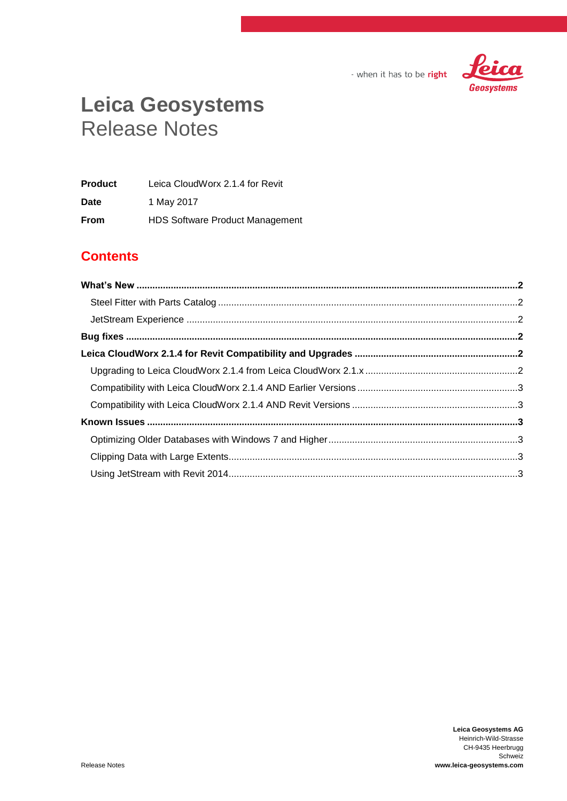

- when it has to be right

# **Leica Geosystems** Release Notes

| <b>Product</b> | Leica CloudWorx 2.1.4 for Revit        |
|----------------|----------------------------------------|
| Date           | 1 May 2017                             |
| <b>From</b>    | <b>HDS Software Product Management</b> |

# **Contents**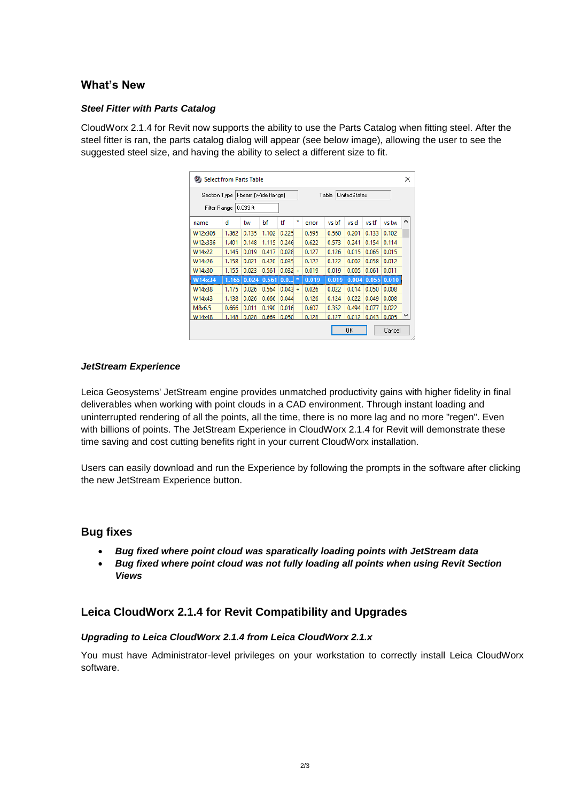## <span id="page-1-0"></span>**What's New**

#### <span id="page-1-1"></span>*Steel Fitter with Parts Catalog*

CloudWorx 2.1.4 for Revit now supports the ability to use the Parts Catalog when fitting steel. After the steel fitter is ran, the parts catalog dialog will appear (see below image), allowing the user to see the suggested steel size, and having the ability to select a different size to fit.

| Section Type   I-beam (Wide flange) |       |            |       |           | <b>UnitedStates</b><br>Table |       |       |       |       |       |   |
|-------------------------------------|-------|------------|-------|-----------|------------------------------|-------|-------|-------|-------|-------|---|
| Filter Range                        |       | l 0.033 ft |       |           |                              |       |       |       |       |       |   |
| name                                | d     | tw         | bf    | ťf        | ×                            | error | vs hf | vs d  | vs tf | vs tw | ۸ |
| W12x305                             | 1.362 | 0.135      | 1.102 | 0.225     |                              | 0.595 | 0.560 | 0.201 | 0.133 | 0.102 |   |
| W12x336                             | 1.401 | 0.148      | 1.115 | 0.246     |                              | 0.622 | 0.573 | 0.241 | 0.154 | 0.114 |   |
| W14x22                              | 1.145 | 0.019      | 0.417 | 0.028     |                              | 0.127 | 0.126 | 0.015 | 0.065 | 0.015 |   |
| W14x26                              | 1.158 | 0.021      | 0.420 | 0.035     |                              | 0.122 | 0.122 | 0.002 | 0.058 | 0.012 |   |
| W14x30                              | 1.155 | 0.023      | 0.561 | $0.032 +$ |                              | 0.019 | 0.019 | 0.005 | 0.061 | 0.011 |   |
| W14x34                              | 1.165 | 0.024      | 0.561 | 0.0       |                              | 0.019 | 0.019 | 0.004 | 0.055 | 0.010 |   |
| W14x38                              | 1.175 | 0.026      | 0.564 | $0.043 +$ |                              | 0.026 | 0.022 | 0.014 | 0.050 | 0.008 |   |
| W14x43                              | 1.138 | 0.026      | 0.666 | 0.044     |                              | 0.126 | 0.124 | 0.022 | 0.049 | 0.008 |   |
| M8x6.5                              | 0.666 | 0.011      | 0.190 | 0.016     |                              | 0.607 | 0.352 | 0.494 | 0.077 | 0.022 |   |
| W14x48                              | 1.148 | 0.028      | 0.669 | 0.050     |                              | 0.128 | 0.127 | 0.012 | 0.043 | 0.005 |   |

#### <span id="page-1-2"></span>*JetStream Experience*

Leica Geosystems' JetStream engine provides unmatched productivity gains with higher fidelity in final deliverables when working with point clouds in a CAD environment. Through instant loading and uninterrupted rendering of all the points, all the time, there is no more lag and no more "regen". Even with billions of points. The JetStream Experience in CloudWorx 2.1.4 for Revit will demonstrate these time saving and cost cutting benefits right in your current CloudWorx installation.

Users can easily download and run the Experience by following the prompts in the software after clicking the new JetStream Experience button.

### <span id="page-1-3"></span>**Bug fixes**

- *Bug fixed where point cloud was sparatically loading points with JetStream data*
- *Bug fixed where point cloud was not fully loading all points when using Revit Section Views*

# <span id="page-1-4"></span>**Leica CloudWorx 2.1.4 for Revit Compatibility and Upgrades**

#### <span id="page-1-5"></span>*Upgrading to Leica CloudWorx 2.1.4 from Leica CloudWorx 2.1.x*

You must have Administrator-level privileges on your workstation to correctly install Leica CloudWorx software.